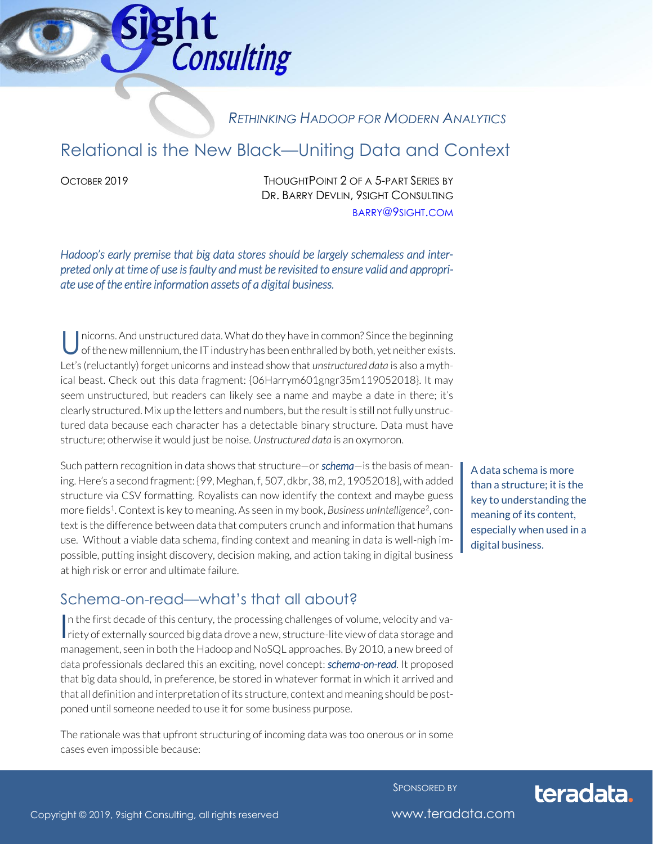

# *RETHINKING HADOOP FOR MODERN ANALYTICS*

# Relational is the New Black—Uniting Data and Context

OCTOBER 2019 THOUGHTPOINT 2 OF A 5-PART SERIES BY DR. BARRY DEVLIN, 9SIGHT CONSULTING [BARRY](mailto:barry@9sight.com)@9SIGHT.COM

*Hadoop's early premise that big data stores should be largely schemaless and interpreted only at time of use is faulty and must be revisited to ensure valid and appropriate use of the entire information assets of a digital business.* 

nicorns. And unstructured data. What do they have in common? Since the beginning of the new millennium, the IT industry has been enthralled by both, yet neither exists. Let's (reluctantly) forget unicorns and instead show that *unstructured data* is also a mythical beast. Check out this data fragment: {06Harrym601gngr35m119052018}. It may seem unstructured, but readers can likely see a name and maybe a date in there; it's clearly structured. Mix up the letters and numbers, but the result is still not fully unstructured data because each character has a detectable binary structure. Data must have structure; otherwise it would just be noise. *Unstructured data* is an oxymoron. U

Such pattern recognition in data shows that structure—or *schema*—is the basis of meaning. Here's a second fragment: {99, Meghan, f, 507, dkbr, 38, m2, 19052018}, with added structure via CSV formatting. Royalists can now identify the context and maybe guess more fields<sup>1</sup>. Context is key to meaning. As seen in my book, Business unIntelligence<sup>2</sup>, context is the difference between data that computers crunch and information that humans use. Without a viable data schema, finding context and meaning in data is well-nigh impossible, putting insight discovery, decision making, and action taking in digital business at high risk or error and ultimate failure.

A data schema is more than a structure; it is the key to understanding the meaning of its content, especially when used in a digital business.

#### Schema-on-read—what's that all about?

n the first decade of this century, the processing challenges of volume, velocity and va-In the first decade of this century, the processing challenges of volume, velocity and variety of externally sourced big data drove a new, structure-lite view of data storage and management, seen in both the Hadoop and NoSQL approaches. By 2010, a new breed of data professionals declared this an exciting, novel concept: *schema-on-read*. It proposed that big data should, in preference, be stored in whatever format in which it arrived and that all definition and interpretation of its structure, context and meaning should be postponed until someone needed to use it for some business purpose.

The rationale was that upfront structuring of incoming data was too onerous or in some cases even impossible because:

SPONSORED BY

# teradata.

Copyright © 2019, 9sight Consulting, all rights reserved www.teradata.com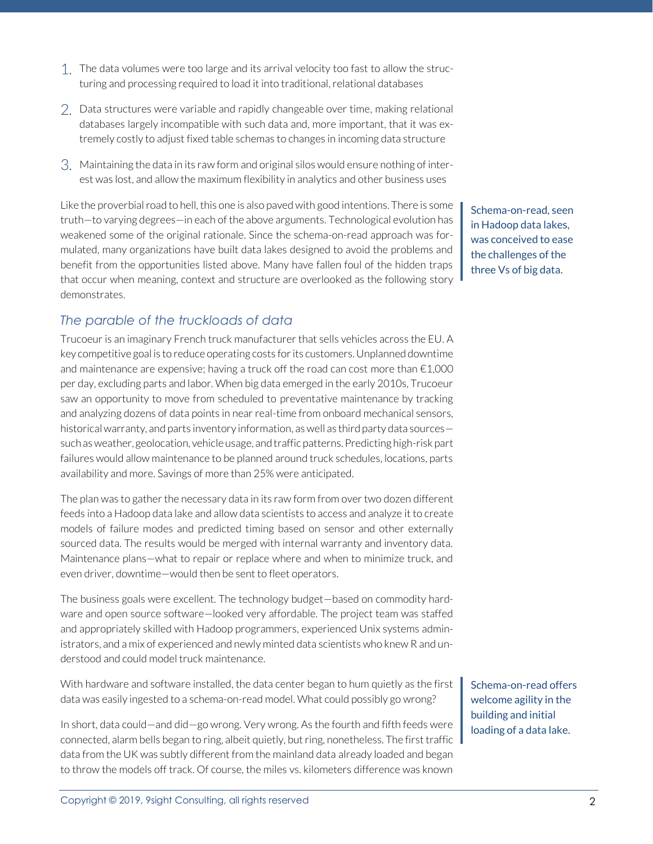- 1. The data volumes were too large and its arrival velocity too fast to allow the structuring and processing required to load it into traditional, relational databases
- 2. Data structures were variable and rapidly changeable over time, making relational databases largely incompatible with such data and, more important, that it was extremely costly to adjust fixed table schemas to changes in incoming data structure
- 3. Maintaining the data in its raw form and original silos would ensure nothing of interest was lost, and allow the maximum flexibility in analytics and other business uses

Like the proverbial road to hell, this one is also paved with good intentions. There is some truth—to varying degrees—in each of the above arguments. Technological evolution has weakened some of the original rationale. Since the schema-on-read approach was formulated, many organizations have built data lakes designed to avoid the problems and benefit from the opportunities listed above. Many have fallen foul of the hidden traps that occur when meaning, context and structure are overlooked as the following story demonstrates.

#### *The parable of the truckloads of data*

Trucoeur is an imaginary French truck manufacturer that sells vehicles across the EU. A key competitive goal is to reduce operating costs for its customers. Unplanned downtime and maintenance are expensive; having a truck off the road can cost more than €1,000 per day, excluding parts and labor. When big data emerged in the early 2010s, Trucoeur saw an opportunity to move from scheduled to preventative maintenance by tracking and analyzing dozens of data points in near real-time from onboard mechanical sensors, historical warranty, and parts inventory information, as well as third party data sources such as weather, geolocation, vehicle usage, and traffic patterns. Predicting high-risk part failures would allow maintenance to be planned around truck schedules, locations, parts availability and more. Savings of more than 25% were anticipated.

The plan was to gather the necessary data in its raw form from over two dozen different feeds into a Hadoop data lake and allow data scientists to access and analyze it to create models of failure modes and predicted timing based on sensor and other externally sourced data. The results would be merged with internal warranty and inventory data. Maintenance plans—what to repair or replace where and when to minimize truck, and even driver, downtime—would then be sent to fleet operators.

The business goals were excellent. The technology budget—based on commodity hardware and open source software—looked very affordable. The project team was staffed and appropriately skilled with Hadoop programmers, experienced Unix systems administrators, and a mix of experienced and newly minted data scientists who knew R and understood and could model truck maintenance.

With hardware and software installed, the data center began to hum quietly as the first data was easily ingested to a schema-on-read model. What could possibly go wrong?

In short, data could—and did—go wrong. Very wrong. As the fourth and fifth feeds were connected, alarm bells began to ring, albeit quietly, but ring, nonetheless. The first traffic data from the UK was subtly different from the mainland data already loaded and began to throw the models off track. Of course, the miles vs. kilometers difference was known

Schema-on-read, seen in Hadoop data lakes, was conceived to ease the challenges of the three Vs of big data.

Schema-on-read offers welcome agility in the building and initial loading of a data lake.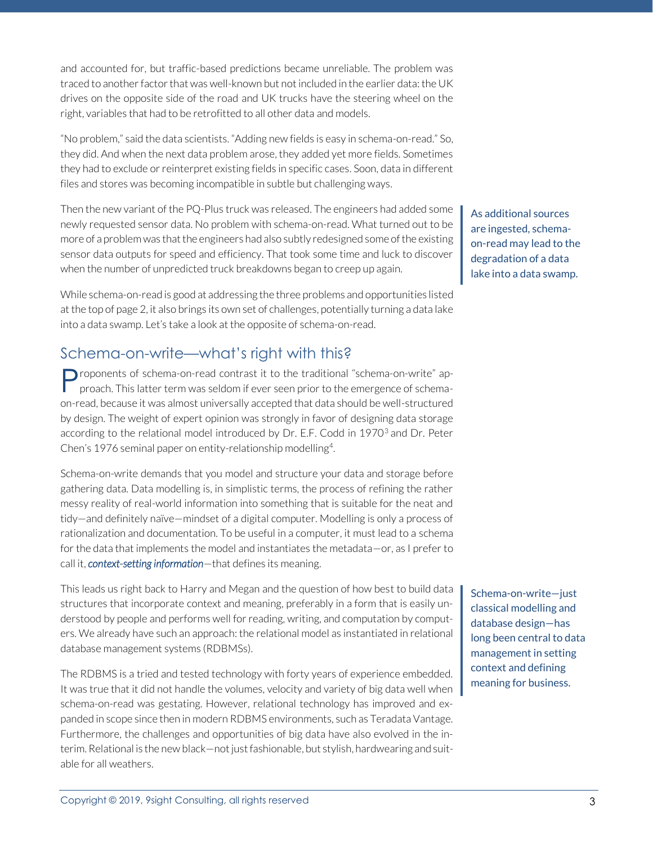and accounted for, but traffic-based predictions became unreliable. The problem was traced to another factor that was well-known but not included in the earlier data: the UK drives on the opposite side of the road and UK trucks have the steering wheel on the right, variables that had to be retrofitted to all other data and models.

"No problem," said the data scientists. "Adding new fields is easy in schema-on-read." So, they did. And when the next data problem arose, they added yet more fields. Sometimes they had to exclude or reinterpret existing fields in specific cases. Soon, data in different files and stores was becoming incompatible in subtle but challenging ways.

Then the new variant of the PQ-Plus truck was released. The engineers had added some newly requested sensor data. No problem with schema-on-read. What turned out to be more of a problem was that the engineers had also subtly redesigned some of the existing sensor data outputs for speed and efficiency. That took some time and luck to discover when the number of unpredicted truck breakdowns began to creep up again.

While schema-on-read is good at addressing the three problems and opportunities listed at the top of page 2, it also brings its own set of challenges, potentially turning a data lake into a data swamp. Let's take a look at the opposite of schema-on-read.

### Schema-on-write—what's right with this?

Proponents of schema-on-read contrast it to the traditional "schema-on-write" approach. This latter term was seldom if ever seen prior to the emergence of schemaproach. This latter term was seldom if ever seen prior to the emergence of schemaon-read, because it was almost universally accepted that data should be well-structured by design. The weight of expert opinion was strongly in favor of designing data storage according to the relational model introduced by Dr. E.F. Codd in 1970<sup>3</sup> and Dr. Peter Chen's 1976 seminal paper on entity-relationship modelling<sup>4</sup>. .

Schema-on-write demands that you model and structure your data and storage before gathering data. Data modelling is, in simplistic terms, the process of refining the rather messy reality of real-world information into something that is suitable for the neat and tidy—and definitely naïve—mindset of a digital computer. Modelling is only a process of rationalization and documentation. To be useful in a computer, it must lead to a schema for the data that implements the model and instantiates the metadata—or, as I prefer to call it, *context-setting information*—that defines its meaning.

This leads us right back to Harry and Megan and the question of how best to build data structures that incorporate context and meaning, preferably in a form that is easily understood by people and performs well for reading, writing, and computation by computers. We already have such an approach: the relational model as instantiated in relational database management systems (RDBMSs).

The RDBMS is a tried and tested technology with forty years of experience embedded. It was true that it did not handle the volumes, velocity and variety of big data well when schema-on-read was gestating. However, relational technology has improved and expanded in scope since then in modern RDBMS environments, such as Teradata Vantage. Furthermore, the challenges and opportunities of big data have also evolved in the interim. Relational is the new black—not just fashionable, but stylish, hardwearing and suitable for all weathers.

As additional sources are ingested, schemaon-read may lead to the degradation of a data lake into a data swamp.

Schema-on-write—just classical modelling and database design—has long been central to data management in setting context and defining meaning for business.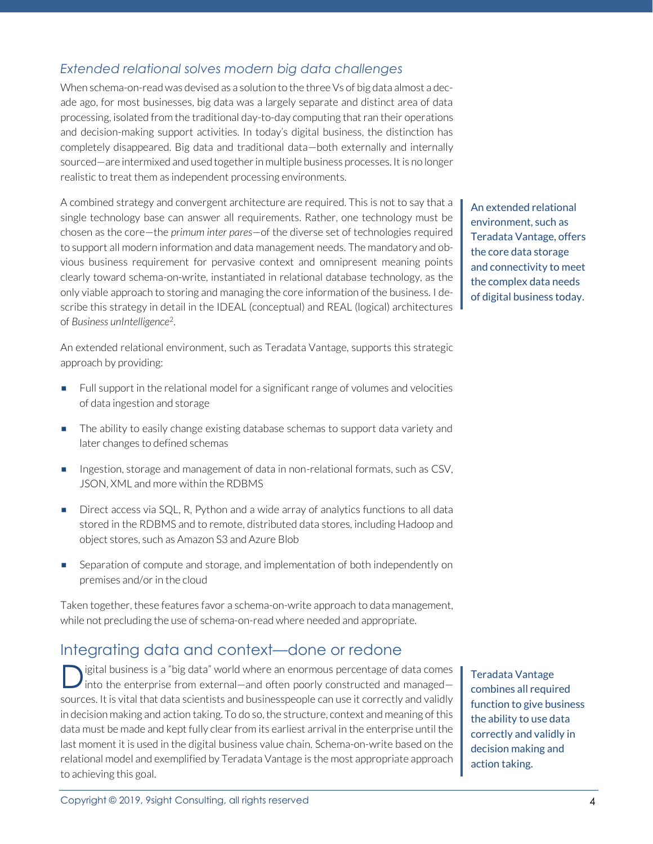#### *Extended relational solves modern big data challenges*

When schema-on-read was devised as a solution to the three Vs of big data almost a decade ago, for most businesses, big data was a largely separate and distinct area of data processing, isolated from the traditional day-to-day computing that ran their operations and decision-making support activities. In today's digital business, the distinction has completely disappeared. Big data and traditional data—both externally and internally sourced—are intermixed and used together in multiple business processes. It is no longer realistic to treat them as independent processing environments.

A combined strategy and convergent architecture are required. This is not to say that a single technology base can answer all requirements. Rather, one technology must be chosen as the core—the *primum inter pares*—of the diverse set of technologies required to support all modern information and data management needs. The mandatory and obvious business requirement for pervasive context and omnipresent meaning points clearly toward schema-on-write, instantiated in relational database technology, as the only viable approach to storing and managing the core information of the business. I describe this strategy in detail in the IDEAL (conceptual) and REAL (logical) architectures of *Business unIntelligence*<sup>2</sup> .

An extended relational environment, such as Teradata Vantage, supports this strategic approach by providing:

- **EXECT** Full support in the relational model for a significant range of volumes and velocities of data ingestion and storage
- **The ability to easily change existing database schemas to support data variety and** later changes to defined schemas
- **EXECT:** Ingestion, storage and management of data in non-relational formats, such as CSV, JSON, XML and more within the RDBMS
- Direct access via SQL, R, Python and a wide array of analytics functions to all data stored in the RDBMS and to remote, distributed data stores, including Hadoop and object stores, such as Amazon S3 and Azure Blob
- **EXECUTE:** Separation of compute and storage, and implementation of both independently on premises and/or in the cloud

Taken together, these features favor a schema-on-write approach to data management, while not precluding the use of schema-on-read where needed and appropriate.

# Integrating data and context—done or redone

igital business is a "big data" world where an enormous percentage of data comes into the enterprise from external—and often poorly constructed and managed sources. It is vital that data scientists and businesspeople can use it correctly and validly in decision making and action taking. To do so, the structure, context and meaning of this data must be made and kept fully clear from its earliest arrival in the enterprise until the last moment it is used in the digital business value chain. Schema-on-write based on the relational model and exemplified by Teradata Vantage is the most appropriate approach to achieving this goal. D

Teradata Vantage combines all required function to give business the ability to use data correctly and validly in decision making and action taking.

An extended relational environment, such as Teradata Vantage, offers the core data storage and connectivity to meet the complex data needs of digital business today.